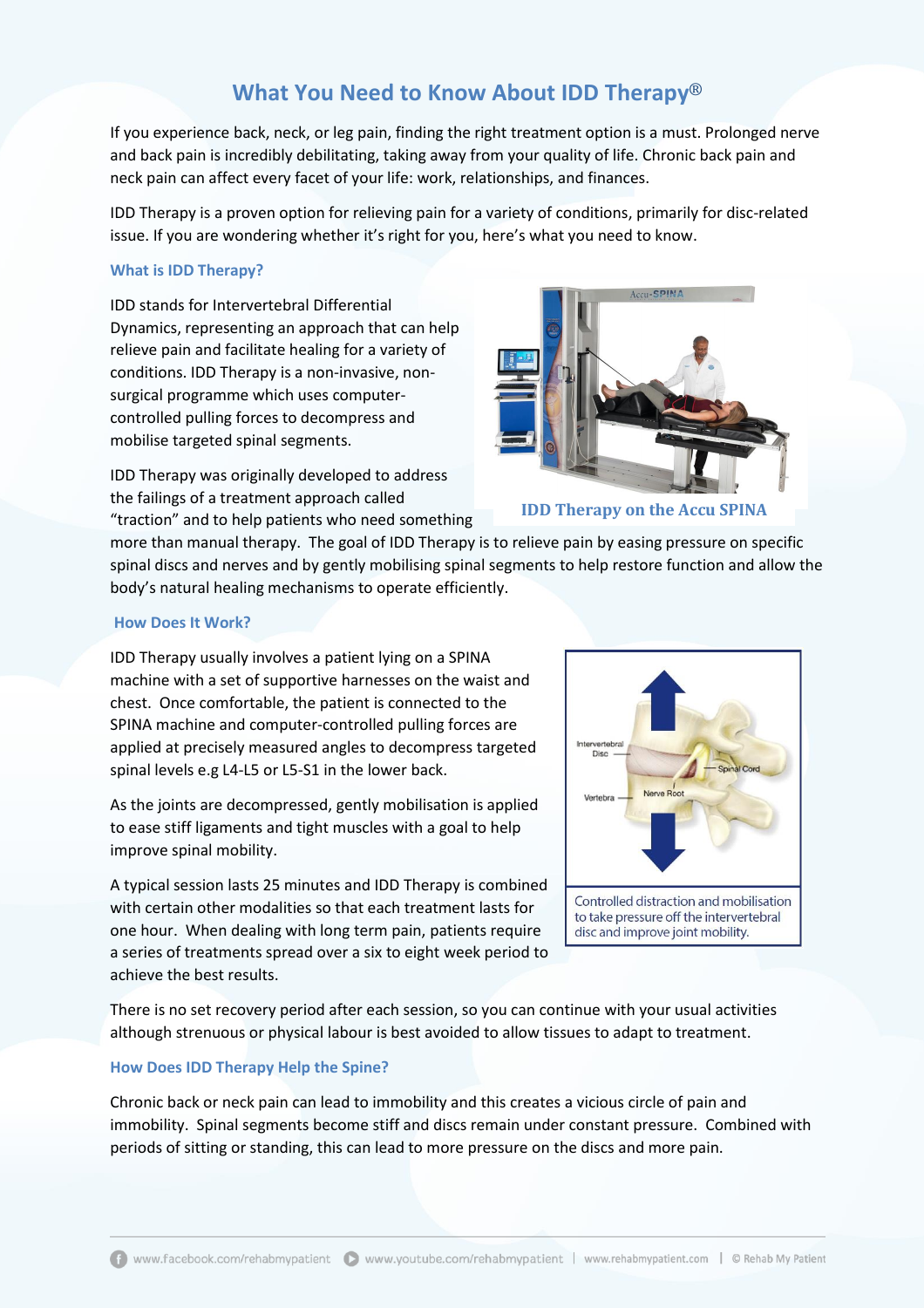# **What You Need to Know About IDD Therapy**®

If you experience back, neck, or leg pain, finding the right treatment option is a must. Prolonged nerve and back pain is incredibly debilitating, taking away from your quality of life. Chronic back pain and neck pain can affect every facet of your life: work, relationships, and finances.

IDD Therapy is a proven option for relieving pain for a variety of conditions, primarily for disc-related issue. If you are wondering whether it's right for you, here's what you need to know.

#### **What is IDD Therapy?**

IDD stands for Intervertebral Differential Dynamics, representing an approach that can help relieve pain and facilitate healing for a variety of conditions. IDD Therapy is a non-invasive, nonsurgical programme which uses computercontrolled pulling forces to decompress and mobilise targeted spinal segments.

IDD Therapy was originally developed to address the failings of a treatment approach called

"traction" and to help patients who need something



**IDD Therapy on the Accu SPINA**

more than manual therapy. The goal of IDD Therapy is to relieve pain by easing pressure on specific spinal discs and nerves and by gently mobilising spinal segments to help restore function and allow the body's natural healing mechanisms to operate efficiently.

#### **How Does It Work?**

IDD Therapy usually involves a patient lying on a SPINA machine with a set of supportive harnesses on the waist and chest. Once comfortable, the patient is connected to the SPINA machine and computer-controlled pulling forces are applied at precisely measured angles to decompress targeted spinal levels e.g L4-L5 or L5-S1 in the lower back.

As the joints are decompressed, gently mobilisation is applied to ease stiff ligaments and tight muscles with a goal to help improve spinal mobility.

A typical session lasts 25 minutes and IDD Therapy is combined with certain other modalities so that each treatment lasts for one hour. When dealing with long term pain, patients require a series of treatments spread over a six to eight week period to achieve the best results.



There is no set recovery period after each session, so you can continue with your usual activities although strenuous or physical labour is best avoided to allow tissues to adapt to treatment.

#### **How Does IDD Therapy Help the Spine?**

Chronic back or neck pain can lead to immobility and this creates a vicious circle of pain and immobility. Spinal segments become stiff and discs remain under constant pressure. Combined with periods of sitting or standing, this can lead to more pressure on the discs and more pain.